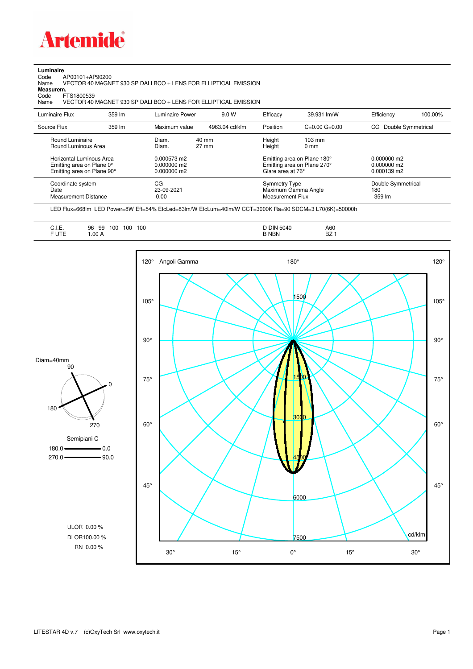

**Luminaire**<br>Code /<br>Name Code AP00101+AP90200 Name VECTOR 40 MAGNET 930 SP DALI BCO + LENS FOR ELLIPTICAL EMISSION

**Measurem.**

Code FTS1800539<br>Name VECTOR 40 VECTOR 40 MAGNET 930 SP DALI BCO + LENS FOR ELLIPTICAL EMISSION

| Luminaire Flux                                                                                                                | 359 lm | Luminaire Power                                                 | 9.0 W                              | Efficacy                              | 39.931 lm/W                                                                                      | Efficiency                                             | 100.00% |
|-------------------------------------------------------------------------------------------------------------------------------|--------|-----------------------------------------------------------------|------------------------------------|---------------------------------------|--------------------------------------------------------------------------------------------------|--------------------------------------------------------|---------|
| Source Flux                                                                                                                   | 359 lm | Maximum value                                                   | 4963.04 cd/klm                     | Position                              | $C=0.00$ $G=0.00$                                                                                | Double Symmetrical<br>CG.                              |         |
| Round Luminaire<br>Round Luminous Area<br>Horizontal Luminous Area<br>Emitting area on Plane 0°<br>Emitting area on Plane 90° |        | Diam.<br>Diam.<br>0.000573 m2<br>$0.000000$ m2<br>$0.000000$ m2 | $40 \text{ mm}$<br>$27 \text{ mm}$ | Height<br>Height<br>Glare area at 76° | $103 \text{ mm}$<br>$0 \text{ mm}$<br>Emitting area on Plane 180°<br>Emitting area on Plane 270° | $0.000000$ m2<br>$0.000000$ m2<br>$0.000139 \text{ m}$ |         |
| Coordinate system<br>Date<br>Measurement Distance                                                                             |        | CG<br>23-09-2021<br>0.00                                        |                                    | Symmetry Type<br>Measurement Flux     | Maximum Gamma Angle                                                                              | Double Symmetrical<br>180<br>359 lm                    |         |

LED Flux=668lm LED Power=8W Eff=54% EfcLed=83lm/W EfcLum=40lm/W CCT=3000K Ra=90 SDCM=3 L70(6K)=50000h

| $\overline{\phantom{0}}$<br><b>DIN 5040</b><br>100<br>100<br>A60<br>100<br>96<br>٩Q<br>-<br>ວວ<br>◡…<br>$\sim$ $\sim$ $\sim$ $\sim$ $\sim$ $\sim$ $\sim$ $\sim$<br>$ -$<br>. .<br>F UTE<br>DZ.<br>B NBN<br>.00A<br>DZ.<br>. |
|-----------------------------------------------------------------------------------------------------------------------------------------------------------------------------------------------------------------------------|
|-----------------------------------------------------------------------------------------------------------------------------------------------------------------------------------------------------------------------------|